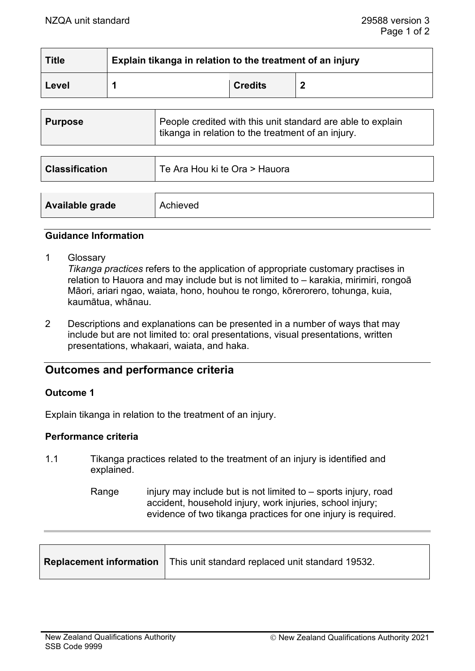| <b>Title</b> | Explain tikanga in relation to the treatment of an injury |                |  |
|--------------|-----------------------------------------------------------|----------------|--|
| Level        |                                                           | <b>Credits</b> |  |

| <b>Purpose</b>        | People credited with this unit standard are able to explain<br>tikanga in relation to the treatment of an injury. |  |
|-----------------------|-------------------------------------------------------------------------------------------------------------------|--|
|                       |                                                                                                                   |  |
| <b>Classification</b> | Te Ara Hou ki te Ora > Hauora                                                                                     |  |
|                       |                                                                                                                   |  |
| Available grade       | Achieved                                                                                                          |  |

## **Guidance Information**

1 Glossary

*Tikanga practices* refers to the application of appropriate customary practises in relation to Hauora and may include but is not limited to – karakia, mirimiri, rongoā Māori, ariari ngao, waiata, hono, houhou te rongo, kōrerorero, tohunga, kuia, kaumātua, whānau.

2 Descriptions and explanations can be presented in a number of ways that may include but are not limited to: oral presentations, visual presentations, written presentations, whakaari, waiata, and haka.

# **Outcomes and performance criteria**

#### **Outcome 1**

Explain tikanga in relation to the treatment of an injury.

## **Performance criteria**

- 1.1 Tikanga practices related to the treatment of an injury is identified and explained.
	- Range injury may include but is not limited to  $-$  sports injury, road accident, household injury, work injuries, school injury; evidence of two tikanga practices for one injury is required.

|  | <b>Replacement information</b>   This unit standard replaced unit standard 19532. |  |
|--|-----------------------------------------------------------------------------------|--|
|--|-----------------------------------------------------------------------------------|--|